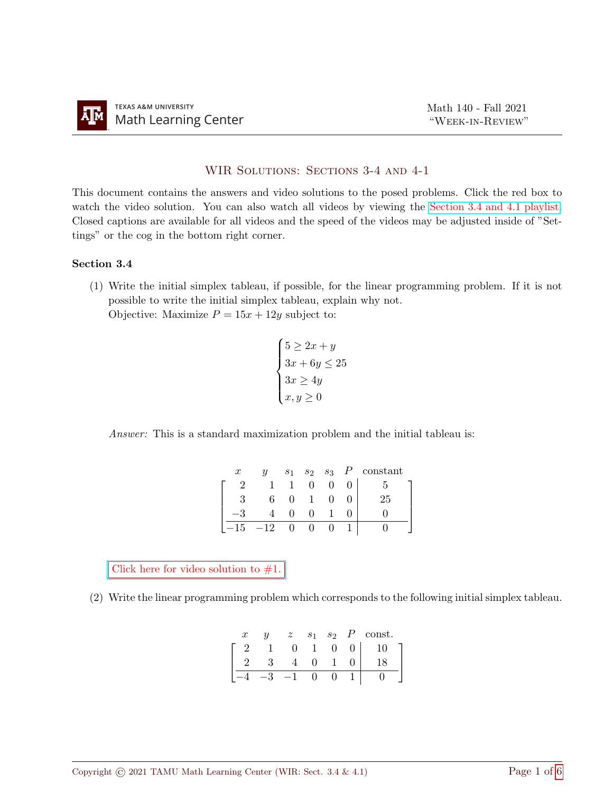## WIR Solutions: Sections 3-4 and 4-1

This document contains the answers and video solutions to the posed problems. Click the red box to watch the video solution. You can also watch all videos by viewing the [Section 3.4 and 4.1 playlist.](https://youtube.com/playlist?list=PLwFg2cC3rFdkeAgckFArvAiGYA2Gm6-iO) Closed captions are available for all videos and the speed of the videos may be adjusted inside of "Settings" or the cog in the bottom right corner.

## Section 3.4

(1) Write the initial simplex tableau, if possible, for the linear programming problem. If it is not possible to write the initial simplex tableau, explain why not. Objective: Maximize  $P = 15x + 12y$  subject to:

$$
\begin{cases}\n5 \ge 2x + y \\
3x + 6y \le 25 \\
3x \ge 4y \\
x, y \ge 0\n\end{cases}
$$

Answer: This is a standard maximization problem and the initial tableau is:

| $\boldsymbol{x}$ |     | S <sub>1</sub> |  | $s_2$ $s_3$ $P$ constant |
|------------------|-----|----------------|--|--------------------------|
|                  |     |                |  |                          |
|                  |     |                |  | 25                       |
|                  |     |                |  |                          |
| 15               | –12 |                |  |                          |

Click here for video solution to  $#1$ .

(2) Write the linear programming problem which corresponds to the following initial simplex tableau.

| $\boldsymbol{x}$ | $\boldsymbol{\mathit{u}}$ | $\tilde{\phantom{a}}$<br>Ñ | $\boldsymbol{s}$ | $s_2$ | const. |
|------------------|---------------------------|----------------------------|------------------|-------|--------|
|                  |                           |                            |                  |       |        |
|                  |                           |                            |                  |       |        |
|                  |                           |                            |                  |       |        |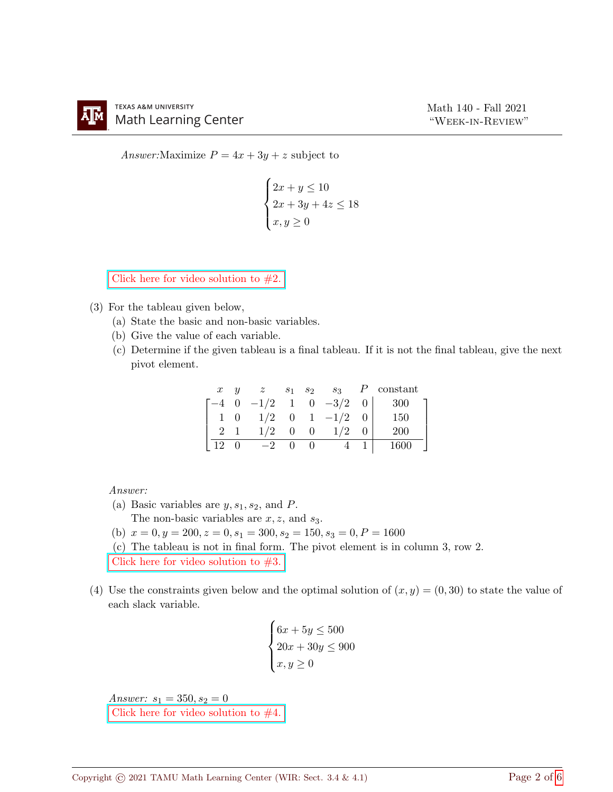Answer: Maximize  $P = 4x + 3y + z$  subject to

$$
\begin{cases} 2x + y \le 10 \\ 2x + 3y + 4z \le 18 \\ x, y \ge 0 \end{cases}
$$

Click here for video solution to  $#2$ .

- (3) For the tableau given below,
	- (a) State the basic and non-basic variables.
	- (b) Give the value of each variable.
	- (c) Determine if the given tableau is a final tableau. If it is not the final tableau, give the next pivot element.

| $\boldsymbol{x}$ | $\boldsymbol{\mathit{u}}$ | $\boldsymbol{z}$                   |                |                               | $S_1$ $S_2$ $S_3$ | P constant |
|------------------|---------------------------|------------------------------------|----------------|-------------------------------|-------------------|------------|
|                  |                           | $0 \t -1/2 \t 1 \t 0 \t -3/2 \t 0$ |                |                               |                   | - 300      |
|                  |                           |                                    |                |                               | $1/2$ 0 1 $-1/2$  | 150        |
|                  |                           | 1/2                                | $\overline{0}$ | $\begin{matrix}0\end{matrix}$ | 1/2               | <b>200</b> |
| 12               |                           | $-2$                               |                |                               |                   | 1600       |

Answer:

(a) Basic variables are  $y, s_1, s_2$ , and P.

The non-basic variables are  $x, z$ , and  $s_3$ .

(b)  $x = 0, y = 200, z = 0, s_1 = 300, s_2 = 150, s_3 = 0, P = 1600$ 

(c) The tableau is not in final form. The pivot element is in column 3, row 2.

Click here for video solution to  $#3$ .

(4) Use the constraints given below and the optimal solution of  $(x, y) = (0, 30)$  to state the value of each slack variable.

$$
\begin{cases} 6x + 5y \le 500 \\ 20x + 30y \le 900 \\ x, y \ge 0 \end{cases}
$$

Answer:  $s_1 = 350, s_2 = 0$ Click here for video solution to  $#4$ .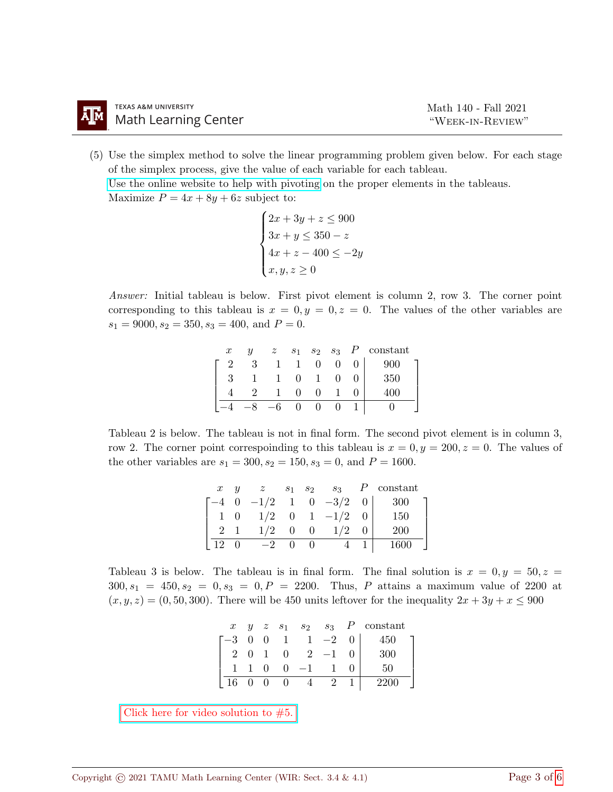(5) Use the simplex method to solve the linear programming problem given below. For each stage of the simplex process, give the value of each variable for each tableau. [Use the online website to help with pivoting](https://www.zweigmedia.com/spreadsheets/gaussjordanpage.php?lang=en) on the proper elements in the tableaus.

Maximize  $P = 4x + 8y + 6z$  subject to:

```
\sqrt{ }\int\overline{\mathcal{L}}2x + 3y + z \le 9003x + y \le 350 - z4x + z - 400 \le -2yx, y, z \geq 0
```
Answer: Initial tableau is below. First pivot element is column 2, row 3. The corner point corresponding to this tableau is  $x = 0, y = 0, z = 0$ . The values of the other variables are  $s_1 = 9000, s_2 = 350, s_3 = 400, \text{ and } P = 0.$ 

| $\boldsymbol{x}$ | $\boldsymbol{\mathit{u}}$ | $\boldsymbol{z}$ | S <sub>1</sub> | $s_2$ $s_3$ | constant |
|------------------|---------------------------|------------------|----------------|-------------|----------|
| ິ                |                           |                  |                |             | 900      |
|                  |                           |                  |                |             | 350      |
|                  |                           |                  |                |             | мı       |
|                  |                           |                  |                |             |          |

Tableau 2 is below. The tableau is not in final form. The second pivot element is in column 3, row 2. The corner point correspoinding to this tableau is  $x = 0, y = 200, z = 0$ . The values of the other variables are  $s_1 = 300, s_2 = 150, s_3 = 0$ , and  $P = 1600$ .

| $\boldsymbol{x}$   | $\boldsymbol{u}$ | z                          |          |                | $s_1$ $s_2$ $s_3$ | P constant  |  |
|--------------------|------------------|----------------------------|----------|----------------|-------------------|-------------|--|
|                    |                  | $-4$ 0 $-1/2$ 1 0 $-3/2$ 0 |          |                |                   | 300         |  |
| 1 0                |                  |                            |          |                | $1/2$ 0 1 $-1/2$  | 150         |  |
|                    |                  | $1/2$ 0                    |          | $\overline{0}$ | 1/2               | <b>200</b>  |  |
| $\cdot$ 12 $\cdot$ | $\Omega$         | $-2$                       | $\theta$ | $\overline{0}$ |                   | <b>1600</b> |  |

Tableau 3 is below. The tableau is in final form. The final solution is  $x = 0, y = 50, z =$  $300, s_1 = 450, s_2 = 0, s_3 = 0, P = 2200$ . Thus, P attains a maximum value of 2200 at  $(x, y, z) = (0, 50, 300)$ . There will be 450 units leftover for the inequality  $2x + 3y + x \le 900$ 

| $\boldsymbol{x}$ |     |                |              |      |                | $y \quad z \quad s_1 \quad s_2 \quad s_3 \quad P \quad \text{constant}$ |
|------------------|-----|----------------|--------------|------|----------------|-------------------------------------------------------------------------|
| $-3$ 0 0         |     | $\overline{1}$ |              | $-2$ | 0 <sup>1</sup> | 450                                                                     |
|                  | (1) | $\overline{0}$ | $\mathbf{2}$ | -1   |                | 300                                                                     |
|                  |     | $\mathbf{0}$   | $-1$         |      |                | 50                                                                      |
|                  |     |                |              |      |                |                                                                         |

Click here for video solution to  $#5$ .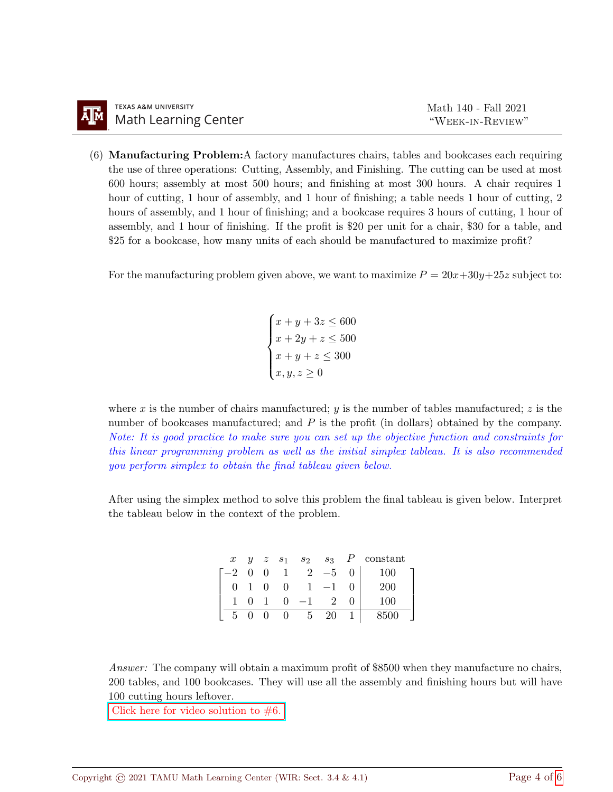(6) Manufacturing Problem:A factory manufactures chairs, tables and bookcases each requiring the use of three operations: Cutting, Assembly, and Finishing. The cutting can be used at most 600 hours; assembly at most 500 hours; and finishing at most 300 hours. A chair requires 1 hour of cutting, 1 hour of assembly, and 1 hour of finishing; a table needs 1 hour of cutting, 2 hours of assembly, and 1 hour of finishing; and a bookcase requires 3 hours of cutting, 1 hour of assembly, and 1 hour of finishing. If the profit is \$20 per unit for a chair, \$30 for a table, and \$25 for a bookcase, how many units of each should be manufactured to maximize profit?

For the manufacturing problem given above, we want to maximize  $P = 20x+30y+25z$  subject to:

 $\sqrt{ }$  $\int$  $\overline{\mathcal{L}}$  $x + y + 3z \le 600$  $x + 2y + z \le 500$  $x+y+z \leq 300$  $x, y, z \geq 0$ 

where x is the number of chairs manufactured; y is the number of tables manufactured; z is the number of bookcases manufactured; and  $P$  is the profit (in dollars) obtained by the company. Note: It is good practice to make sure you can set up the objective function and constraints for this linear programming problem as well as the initial simplex tableau. It is also recommended you perform simplex to obtain the final tableau given below.

After using the simplex method to solve this problem the final tableau is given below. Interpret the tableau below in the context of the problem.

| $\mathcal{X}$ |          |                |      |      |                | $y \quad z \quad s_1 \quad s_2 \quad s_3 \quad P \quad \text{constant}$ |
|---------------|----------|----------------|------|------|----------------|-------------------------------------------------------------------------|
| $-2$ 0 0      |          | 1              | 2    | $-5$ | 0 <sup>1</sup> | 100                                                                     |
|               | $\theta$ | $\overline{0}$ |      |      |                | 200                                                                     |
|               |          | $\mathbf{0}$   | $-1$ |      |                | 100                                                                     |
|               |          | $\mathbf{U}$   | b.   | 20   |                | $8500\,$                                                                |

Answer: The company will obtain a maximum profit of \$8500 when they manufacture no chairs, 200 tables, and 100 bookcases. They will use all the assembly and finishing hours but will have 100 cutting hours leftover.

Click here for video solution to  $#6$ .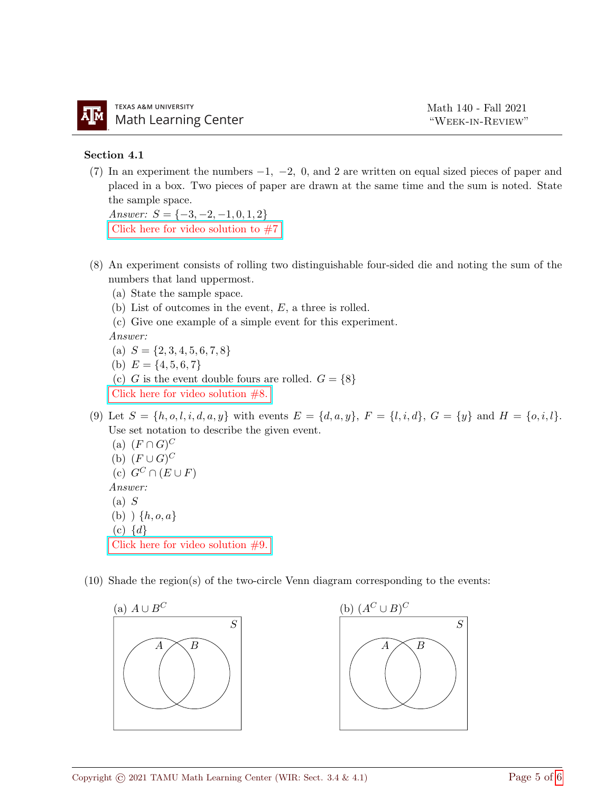## Section 4.1

(7) In an experiment the numbers  $-1$ ,  $-2$ , 0, and 2 are written on equal sized pieces of paper and placed in a box. Two pieces of paper are drawn at the same time and the sum is noted. State the sample space.

Answer:  $S = \{-3, -2, -1, 0, 1, 2\}$ Click here for video solution to  $#7$ 

- (8) An experiment consists of rolling two distinguishable four-sided die and noting the sum of the numbers that land uppermost.
	- (a) State the sample space.
	- (b) List of outcomes in the event, E, a three is rolled.
	- (c) Give one example of a simple event for this experiment.

Answer:

(a) 
$$
S = \{2, 3, 4, 5, 6, 7, 8\}
$$

- (b)  $E = \{4, 5, 6, 7\}$
- (c) G is the event double fours are rolled.  $G = \{8\}$

[Click here for video solution #8.](https://youtu.be/R45afsylhM8)

(9) Let  $S = \{h, o, l, i, d, a, y\}$  with events  $E = \{d, a, y\}, F = \{l, i, d\}, G = \{y\}$  and  $H = \{o, i, l\}.$ Use set notation to describe the given event.

(a)  $(F \cap G)^C$ (b)  $(F \cup G)^C$ (c)  $G^C \cap (E \cup F)$ Answer:  $(a)$   $S$ (b)  $\{h, o, a\}$  $(c) \{d\}$ [Click here for video solution #9.](https://youtu.be/FUuOkCERsxw)

(10) Shade the region(s) of the two-circle Venn diagram corresponding to the events: